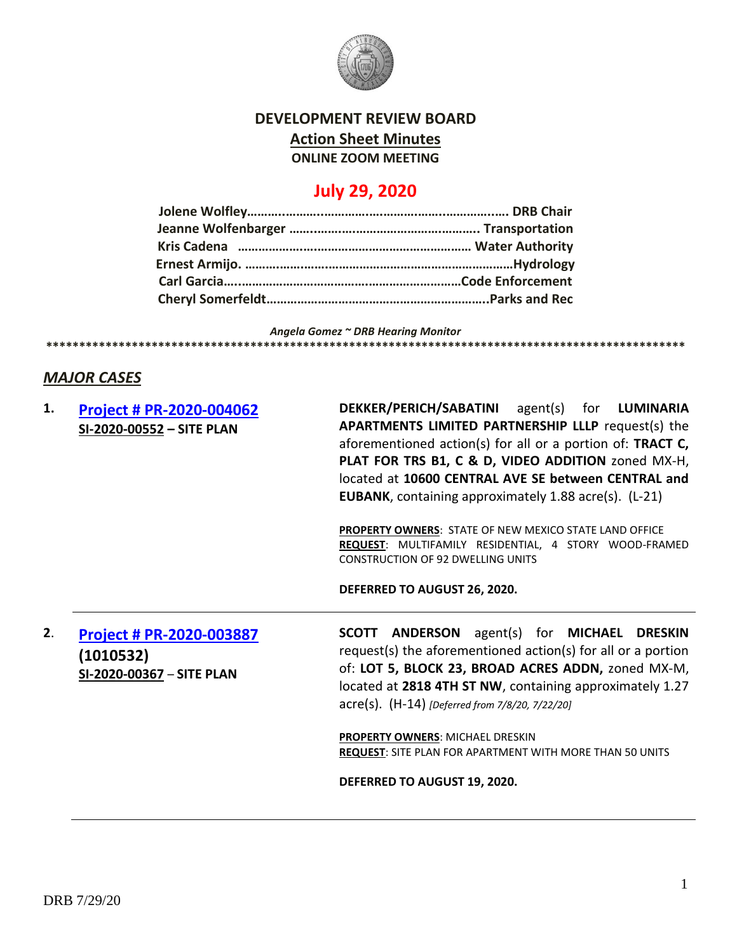

# **DEVELOPMENT REVIEW BOARD**

**Action Sheet Minutes**

**ONLINE ZOOM MEETING**

# **July 29, 2020**

*Angela Gomez ~ DRB Hearing Monitor* **\*\*\*\*\*\*\*\*\*\*\*\*\*\*\*\*\*\*\*\*\*\*\*\*\*\*\*\*\*\*\*\*\*\*\*\*\*\*\*\*\*\*\*\*\*\*\*\*\*\*\*\*\*\*\*\*\*\*\*\*\*\*\*\*\*\*\*\*\*\*\*\*\*\*\*\*\*\*\*\*\*\*\*\*\*\*\*\*\*\*\*\*\*\*\*\*\***

### *MAJOR CASES*

| 1. | Project # PR-2020-004062<br>SI-2020-00552 - SITE PLAN              | DEKKER/PERICH/SABATINI agent(s) for LUMINARIA<br><b>APARTMENTS LIMITED PARTNERSHIP LLLP request(s) the</b><br>aforementioned action(s) for all or a portion of: TRACT C,<br>PLAT FOR TRS B1, C & D, VIDEO ADDITION zoned MX-H,<br>located at 10600 CENTRAL AVE SE between CENTRAL and<br><b>EUBANK, containing approximately 1.88 acre(s). (L-21)</b> |
|----|--------------------------------------------------------------------|-------------------------------------------------------------------------------------------------------------------------------------------------------------------------------------------------------------------------------------------------------------------------------------------------------------------------------------------------------|
|    |                                                                    | <b>PROPERTY OWNERS: STATE OF NEW MEXICO STATE LAND OFFICE</b><br>REQUEST: MULTIFAMILY RESIDENTIAL, 4 STORY WOOD-FRAMED<br><b>CONSTRUCTION OF 92 DWELLING UNITS</b>                                                                                                                                                                                    |
|    |                                                                    | DEFERRED TO AUGUST 26, 2020.                                                                                                                                                                                                                                                                                                                          |
| 2. | Project # PR-2020-003887<br>(1010532)<br>SI-2020-00367 - SITE PLAN | <b>SCOTT ANDERSON</b> agent(s) for <b>MICHAEL DRESKIN</b><br>request(s) the aforementioned action(s) for all or a portion<br>of: LOT 5, BLOCK 23, BROAD ACRES ADDN, zoned MX-M,<br>located at 2818 4TH ST NW, containing approximately 1.27<br>acre(s). (H-14) [Deferred from 7/8/20, 7/22/20]                                                        |
|    |                                                                    | PROPERTY OWNERS: MICHAEL DRESKIN<br><b>REQUEST: SITE PLAN FOR APARTMENT WITH MORE THAN 50 UNITS</b>                                                                                                                                                                                                                                                   |
|    |                                                                    | DEFERRED TO AUGUST 19, 2020.                                                                                                                                                                                                                                                                                                                          |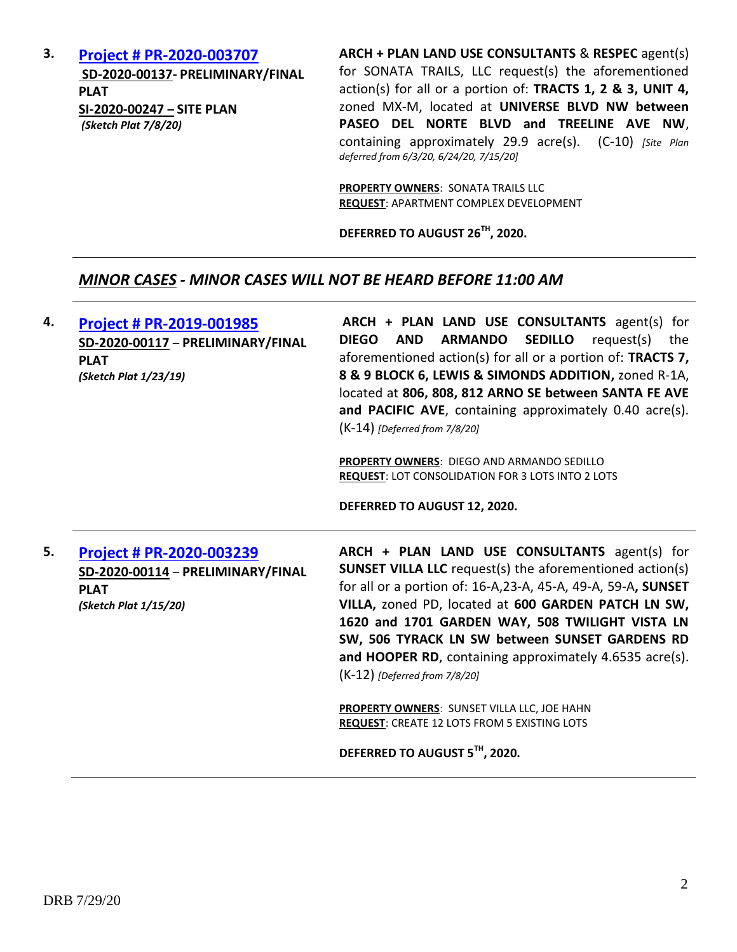**3. [Project # PR-2020-003707](../../DRB%202020%20Agendas/July%202020/data.cabq.gov/government/planning/DRB/PR-2020-003707/DRB%20Submittals/PR-003707_Jul_15_2020_Supp/Application/2020-003707%20Site%20Plan%20Submittal%203/) SD-2020-00137- PRELIMINARY/FINAL PLAT SI-2020-00247 – SITE PLAN** *(Sketch Plat 7/8/20)*

**ARCH + PLAN LAND USE CONSULTANTS** & **RESPEC** agent(s) for SONATA TRAILS, LLC request(s) the aforementioned action(s) for all or a portion of: **TRACTS 1, 2 & 3, UNIT 4,** zoned MX-M, located at **UNIVERSE BLVD NW between PASEO DEL NORTE BLVD and TREELINE AVE NW**, containing approximately 29.9 acre(s). (C-10) *[Site Plan deferred from 6/3/20, 6/24/20, 7/15/20]*

**PROPERTY OWNERS**: SONATA TRAILS LLC **REQUEST**: APARTMENT COMPLEX DEVELOPMENT

**DEFERRED TO AUGUST 26TH, 2020.**

#### *MINOR CASES - MINOR CASES WILL NOT BE HEARD BEFORE 11:00 AM*

| 4. | Project # PR-2019-001985<br>SD-2020-00117 - PRELIMINARY/FINAL<br><b>PLAT</b><br>(Sketch Plat 1/23/19) | ARCH + PLAN LAND USE CONSULTANTS agent(s) for<br><b>ARMANDO</b><br><b>SEDILLO</b><br><b>DIEGO</b><br><b>AND</b><br>request(s)<br>the<br>aforementioned action(s) for all or a portion of: TRACTS 7,<br>8 & 9 BLOCK 6, LEWIS & SIMONDS ADDITION, zoned R-1A,<br>located at 806, 808, 812 ARNO SE between SANTA FE AVE<br>and PACIFIC AVE, containing approximately 0.40 acre(s).<br>(K-14) [Deferred from 7/8/20]<br>PROPERTY OWNERS: DIEGO AND ARMANDO SEDILLO<br><b>REQUEST: LOT CONSOLIDATION FOR 3 LOTS INTO 2 LOTS</b> |
|----|-------------------------------------------------------------------------------------------------------|----------------------------------------------------------------------------------------------------------------------------------------------------------------------------------------------------------------------------------------------------------------------------------------------------------------------------------------------------------------------------------------------------------------------------------------------------------------------------------------------------------------------------|
|    |                                                                                                       | DEFERRED TO AUGUST 12, 2020.                                                                                                                                                                                                                                                                                                                                                                                                                                                                                               |
|    | Project # PR-2020-003239                                                                              | ARCH + PLAN LAND USE CONSULTANTS agent(s) for                                                                                                                                                                                                                                                                                                                                                                                                                                                                              |
| 5. | SD-2020-00114 - PRELIMINARY/FINAL<br><b>PLAT</b><br>(Sketch Plat 1/15/20)                             | <b>SUNSET VILLA LLC</b> request(s) the aforementioned action(s)<br>for all or a portion of: 16-A,23-A, 45-A, 49-A, 59-A, SUNSET<br>VILLA, zoned PD, located at 600 GARDEN PATCH LN SW,<br>1620 and 1701 GARDEN WAY, 508 TWILIGHT VISTA LN<br>SW, 506 TYRACK LN SW between SUNSET GARDENS RD<br>and HOOPER RD, containing approximately 4.6535 acre(s).<br>$(K-12)$ [Deferred from 7/8/20]                                                                                                                                  |
|    |                                                                                                       | PROPERTY OWNERS: SUNSET VILLA LLC, JOE HAHN<br><b>REQUEST: CREATE 12 LOTS FROM 5 EXISTING LOTS</b>                                                                                                                                                                                                                                                                                                                                                                                                                         |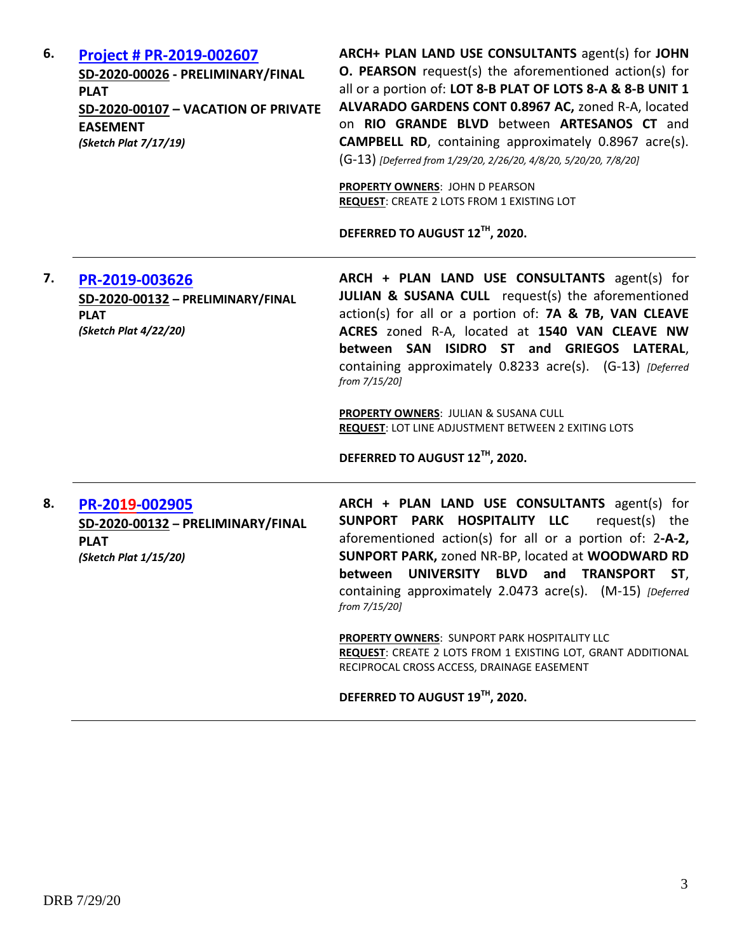| 6. | Project # PR-2019-002607<br>SD-2020-00026 - PRELIMINARY/FINAL<br><b>PLAT</b><br>SD-2020-00107 - VACATION OF PRIVATE<br><b>EASEMENT</b><br>(Sketch Plat 7/17/19) | ARCH+ PLAN LAND USE CONSULTANTS agent(s) for JOHN<br><b>O. PEARSON</b> request(s) the aforementioned action(s) for<br>all or a portion of: LOT 8-B PLAT OF LOTS 8-A & 8-B UNIT 1<br>ALVARADO GARDENS CONT 0.8967 AC, zoned R-A, located<br>on RIO GRANDE BLVD between ARTESANOS CT and<br><b>CAMPBELL RD</b> , containing approximately 0.8967 acre(s).<br>(G-13) [Deferred from 1/29/20, 2/26/20, 4/8/20, 5/20/20, 7/8/20]<br><b>PROPERTY OWNERS: JOHN D PEARSON</b><br><b>REQUEST: CREATE 2 LOTS FROM 1 EXISTING LOT</b><br>DEFERRED TO AUGUST 12TH, 2020. |
|----|-----------------------------------------------------------------------------------------------------------------------------------------------------------------|--------------------------------------------------------------------------------------------------------------------------------------------------------------------------------------------------------------------------------------------------------------------------------------------------------------------------------------------------------------------------------------------------------------------------------------------------------------------------------------------------------------------------------------------------------------|
| 7. | PR-2019-003626<br>SD-2020-00132 - PRELIMINARY/FINAL<br><b>PLAT</b><br>(Sketch Plat 4/22/20)                                                                     | ARCH + PLAN LAND USE CONSULTANTS agent(s) for<br>JULIAN & SUSANA CULL request(s) the aforementioned<br>action(s) for all or a portion of: 7A & 7B, VAN CLEAVE<br>ACRES zoned R-A, located at 1540 VAN CLEAVE NW<br>between SAN ISIDRO ST and GRIEGOS LATERAL,<br>containing approximately 0.8233 acre(s). (G-13) [Deferred<br>from 7/15/20]<br>PROPERTY OWNERS: JULIAN & SUSANA CULL<br><b>REQUEST: LOT LINE ADJUSTMENT BETWEEN 2 EXITING LOTS</b><br>DEFERRED TO AUGUST 12TH, 2020.                                                                         |
| 8. | PR-2019-002905<br>SD-2020-00132 - PRELIMINARY/FINAL<br><b>PLAT</b><br>(Sketch Plat 1/15/20)                                                                     | ARCH + PLAN LAND USE CONSULTANTS agent(s) for<br>SUNPORT PARK HOSPITALITY LLC<br>request(s) the<br>aforementioned action(s) for all or a portion of: 2-A-2,<br>SUNPORT PARK, zoned NR-BP, located at WOODWARD RD<br>between UNIVERSITY BLVD and TRANSPORT<br>ST,<br>containing approximately 2.0473 acre(s). (M-15) [Deferred<br>from 7/15/20]<br><b>PROPERTY OWNERS: SUNPORT PARK HOSPITALITY LLC</b><br>REQUEST: CREATE 2 LOTS FROM 1 EXISTING LOT, GRANT ADDITIONAL<br>RECIPROCAL CROSS ACCESS, DRAINAGE EASEMENT<br>DEFERRED TO AUGUST 19TH, 2020.       |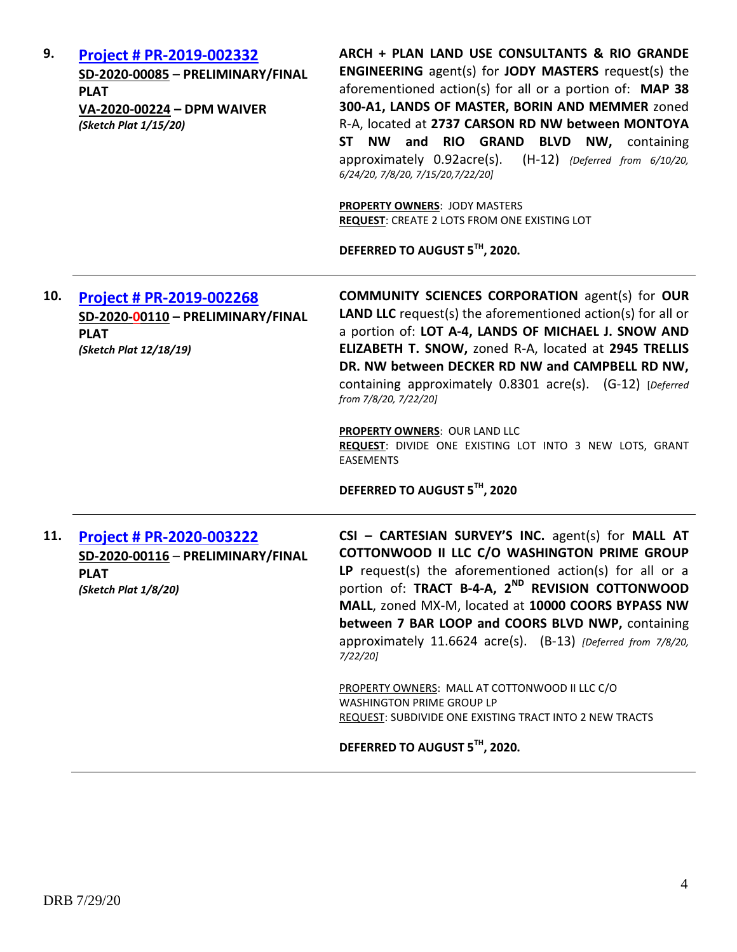| 9.  | Project # PR-2019-002332<br>SD-2020-00085 - PRELIMINARY/FINAL<br><b>PLAT</b><br>VA-2020-00224 - DPM WAIVER<br>(Sketch Plat 1/15/20) | ARCH + PLAN LAND USE CONSULTANTS & RIO GRANDE<br><b>ENGINEERING</b> agent(s) for <b>JODY MASTERS</b> request(s) the<br>aforementioned action(s) for all or a portion of: MAP 38<br>300-A1, LANDS OF MASTER, BORIN AND MEMMER zoned<br>R-A, located at 2737 CARSON RD NW between MONTOYA<br><b>NW</b><br>and RIO GRAND BLVD NW, containing<br><b>ST</b><br>approximately 0.92acre(s).<br>$(H-12)$ {Deferred from 6/10/20,<br>6/24/20, 7/8/20, 7/15/20, 7/22/20]<br><b>PROPERTY OWNERS: JODY MASTERS</b><br>REQUEST: CREATE 2 LOTS FROM ONE EXISTING LOT<br>DEFERRED TO AUGUST 5TH, 2020.                |
|-----|-------------------------------------------------------------------------------------------------------------------------------------|--------------------------------------------------------------------------------------------------------------------------------------------------------------------------------------------------------------------------------------------------------------------------------------------------------------------------------------------------------------------------------------------------------------------------------------------------------------------------------------------------------------------------------------------------------------------------------------------------------|
| 10. | <b>Project # PR-2019-002268</b><br>SD-2020-00110 - PRELIMINARY/FINAL<br><b>PLAT</b><br>(Sketch Plat 12/18/19)                       | <b>COMMUNITY SCIENCES CORPORATION agent(s) for OUR</b><br>LAND LLC request(s) the aforementioned action(s) for all or<br>a portion of: LOT A-4, LANDS OF MICHAEL J. SNOW AND<br>ELIZABETH T. SNOW, zoned R-A, located at 2945 TRELLIS<br>DR. NW between DECKER RD NW and CAMPBELL RD NW,<br>containing approximately 0.8301 acre(s). (G-12) [Deferred<br>from 7/8/20, 7/22/20]<br><b>PROPERTY OWNERS: OUR LAND LLC</b><br>REQUEST: DIVIDE ONE EXISTING LOT INTO 3 NEW LOTS, GRANT<br><b>EASEMENTS</b><br>DEFERRED TO AUGUST 5TH, 2020                                                                  |
| 11. | Project # PR-2020-003222<br>SD-2020-00116 - PRELIMINARY/FINAL<br><b>PLAT</b><br>(Sketch Plat 1/8/20)                                | CSI - CARTESIAN SURVEY'S INC. agent(s) for MALL AT<br>COTTONWOOD II LLC C/O WASHINGTON PRIME GROUP<br>LP request(s) the aforementioned action(s) for all or a<br>portion of: TRACT B-4-A, 2 <sup>ND</sup> REVISION COTTONWOOD<br>MALL, zoned MX-M, located at 10000 COORS BYPASS NW<br>between 7 BAR LOOP and COORS BLVD NWP, containing<br>approximately 11.6624 acre(s). (B-13) [Deferred from 7/8/20,<br>7/22/201<br>PROPERTY OWNERS: MALL AT COTTONWOOD II LLC C/O<br><b>WASHINGTON PRIME GROUP LP</b><br>REQUEST: SUBDIVIDE ONE EXISTING TRACT INTO 2 NEW TRACTS<br>DEFERRED TO AUGUST 5TH, 2020. |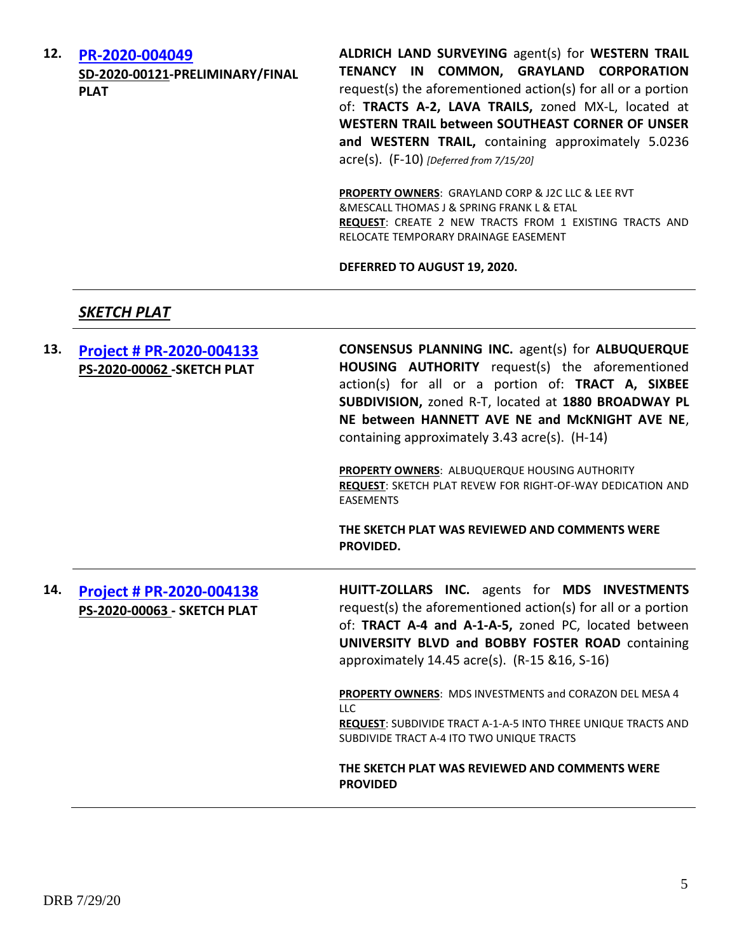**12. [PR-2020-004049](http://data.cabq.gov/government/planning/DRB/PR-2020-004049/DRB%20Submittals/PR-2020-004049_Jul_29_2020_Supp/Application/) SD-2020-00121-PRELIMINARY/FINAL PLAT**

**ALDRICH LAND SURVEYING** agent(s) for **WESTERN TRAIL TENANCY IN COMMON, GRAYLAND CORPORATION** request(s) the aforementioned action(s) for all or a portion of: **TRACTS A-2, LAVA TRAILS,** zoned MX-L, located at **WESTERN TRAIL between SOUTHEAST CORNER OF UNSER and WESTERN TRAIL,** containing approximately 5.0236 acre(s). (F-10) *[Deferred from 7/15/20]*

**PROPERTY OWNERS**: GRAYLAND CORP & J2C LLC & LEE RVT &MESCALL THOMAS J & SPRING FRANK L & ETAL **REQUEST**: CREATE 2 NEW TRACTS FROM 1 EXISTING TRACTS AND RELOCATE TEMPORARY DRAINAGE EASEMENT

**DEFERRED TO AUGUST 19, 2020.**

# *SKETCH PLAT*

| 13. | Project # PR-2020-004133<br><b>PS-2020-00062 - SKETCH PLAT</b> | CONSENSUS PLANNING INC. agent(s) for ALBUQUERQUE<br>HOUSING AUTHORITY request(s) the aforementioned<br>action(s) for all or a portion of: TRACT A, SIXBEE<br>SUBDIVISION, zoned R-T, located at 1880 BROADWAY PL<br>NE between HANNETT AVE NE and McKNIGHT AVE NE,<br>containing approximately 3.43 acre(s). (H-14) |
|-----|----------------------------------------------------------------|---------------------------------------------------------------------------------------------------------------------------------------------------------------------------------------------------------------------------------------------------------------------------------------------------------------------|
|     |                                                                | PROPERTY OWNERS: ALBUQUERQUE HOUSING AUTHORITY<br><b>REQUEST: SKETCH PLAT REVEW FOR RIGHT-OF-WAY DEDICATION AND</b><br><b>EASEMENTS</b>                                                                                                                                                                             |
|     |                                                                | THE SKETCH PLAT WAS REVIEWED AND COMMENTS WERE<br>PROVIDED.                                                                                                                                                                                                                                                         |
| 14. | Project # PR-2020-004138<br>PS-2020-00063 - SKETCH PLAT        | HUITT-ZOLLARS INC. agents for MDS INVESTMENTS<br>request(s) the aforementioned action(s) for all or a portion<br>of: TRACT A-4 and A-1-A-5, zoned PC, located between<br>UNIVERSITY BLVD and BOBBY FOSTER ROAD containing<br>approximately 14.45 acre(s). (R-15 & 16, S-16)                                         |
|     |                                                                | PROPERTY OWNERS: MDS INVESTMENTS and CORAZON DEL MESA 4<br><b>LLC</b><br>REQUEST: SUBDIVIDE TRACT A-1-A-5 INTO THREE UNIQUE TRACTS AND<br>SUBDIVIDE TRACT A-4 ITO TWO UNIQUE TRACTS                                                                                                                                 |
|     |                                                                | THE SKETCH PLAT WAS REVIEWED AND COMMENTS WERE<br><b>PROVIDED</b>                                                                                                                                                                                                                                                   |